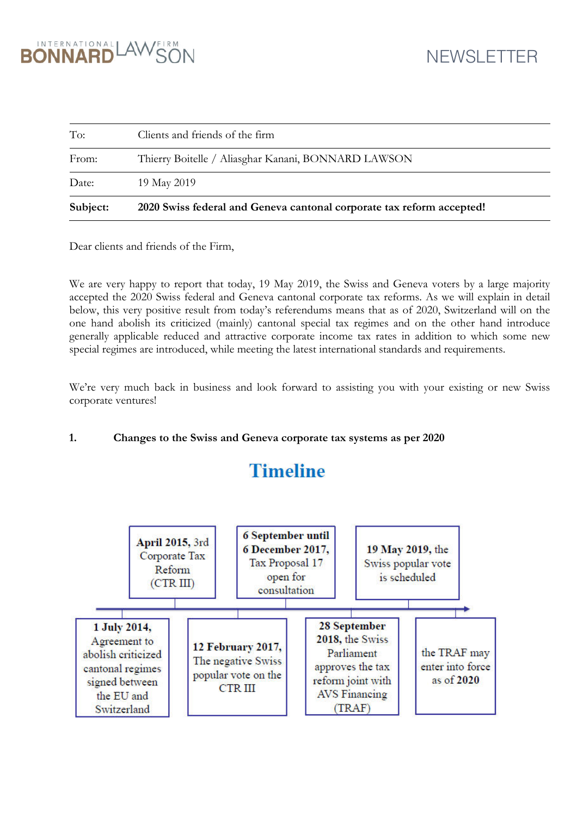

| Subject: | 2020 Swiss federal and Geneva cantonal corporate tax reform accepted! |
|----------|-----------------------------------------------------------------------|
| Date:    | 19 May 2019                                                           |
| From:    | Thierry Boitelle / Aliasghar Kanani, BONNARD LAWSON                   |
| To:      | Clients and friends of the firm                                       |

Dear clients and friends of the Firm,

We are very happy to report that today, 19 May 2019, the Swiss and Geneva voters by a large majority accepted the 2020 Swiss federal and Geneva cantonal corporate tax reforms. As we will explain in detail below, this very positive result from today's referendums means that as of 2020, Switzerland will on the one hand abolish its criticized (mainly) cantonal special tax regimes and on the other hand introduce generally applicable reduced and attractive corporate income tax rates in addition to which some new special regimes are introduced, while meeting the latest international standards and requirements.

We're very much back in business and look forward to assisting you with your existing or new Swiss corporate ventures!

## **1. Changes to the Swiss and Geneva corporate tax systems as per 2020**

## **Timeline**

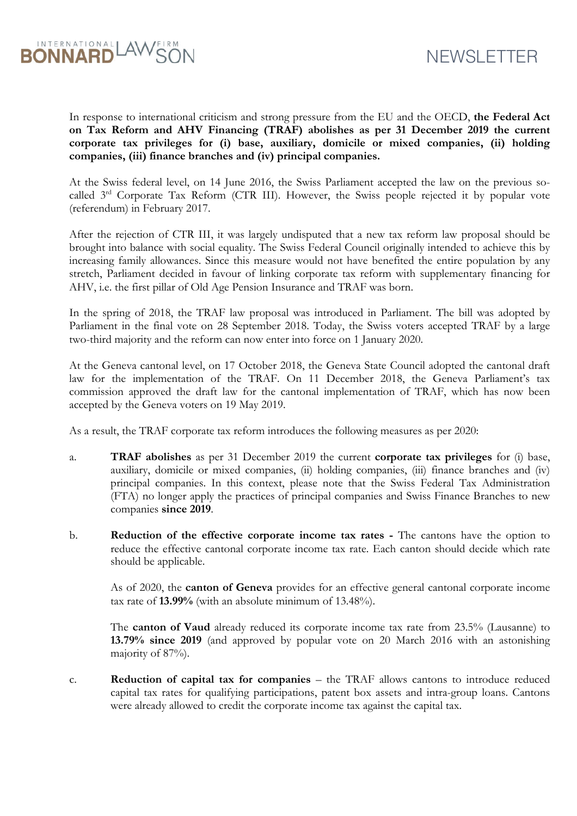



In response to international criticism and strong pressure from the EU and the OECD, **the Federal Act on Tax Reform and AHV Financing (TRAF) abolishes as per 31 December 2019 the current corporate tax privileges for (i) base, auxiliary, domicile or mixed companies, (ii) holding companies, (iii) finance branches and (iv) principal companies.** 

At the Swiss federal level, on 14 June 2016, the Swiss Parliament accepted the law on the previous socalled 3<sup>rd</sup> Corporate Tax Reform (CTR III). However, the Swiss people rejected it by popular vote (referendum) in February 2017.

After the rejection of CTR III, it was largely undisputed that a new tax reform law proposal should be brought into balance with social equality. The Swiss Federal Council originally intended to achieve this by increasing family allowances. Since this measure would not have benefited the entire population by any stretch, Parliament decided in favour of linking corporate tax reform with supplementary financing for AHV, i.e. the first pillar of Old Age Pension Insurance and TRAF was born.

In the spring of 2018, the TRAF law proposal was introduced in Parliament. The bill was adopted by Parliament in the final vote on 28 September 2018. Today, the Swiss voters accepted TRAF by a large two-third majority and the reform can now enter into force on 1 January 2020.

At the Geneva cantonal level, on 17 October 2018, the Geneva State Council adopted the cantonal draft law for the implementation of the TRAF. On 11 December 2018, the Geneva Parliament's tax commission approved the draft law for the cantonal implementation of TRAF, which has now been accepted by the Geneva voters on 19 May 2019.

As a result, the TRAF corporate tax reform introduces the following measures as per 2020:

- a. **TRAF abolishes** as per 31 December 2019 the current **corporate tax privileges** for (i) base, auxiliary, domicile or mixed companies, (ii) holding companies, (iii) finance branches and (iv) principal companies. In this context, please note that the Swiss Federal Tax Administration (FTA) no longer apply the practices of principal companies and Swiss Finance Branches to new companies **since 2019**.
- b. **Reduction of the effective corporate income tax rates** The cantons have the option to reduce the effective cantonal corporate income tax rate. Each canton should decide which rate should be applicable.

As of 2020, the **canton of Geneva** provides for an effective general cantonal corporate income tax rate of **13.99%** (with an absolute minimum of 13.48%).

The **canton of Vaud** already reduced its corporate income tax rate from 23.5% (Lausanne) to **13.79% since 2019** (and approved by popular vote on 20 March 2016 with an astonishing majority of 87%).

c. **Reduction of capital tax for companies** – the TRAF allows cantons to introduce reduced capital tax rates for qualifying participations, patent box assets and intra-group loans. Cantons were already allowed to credit the corporate income tax against the capital tax.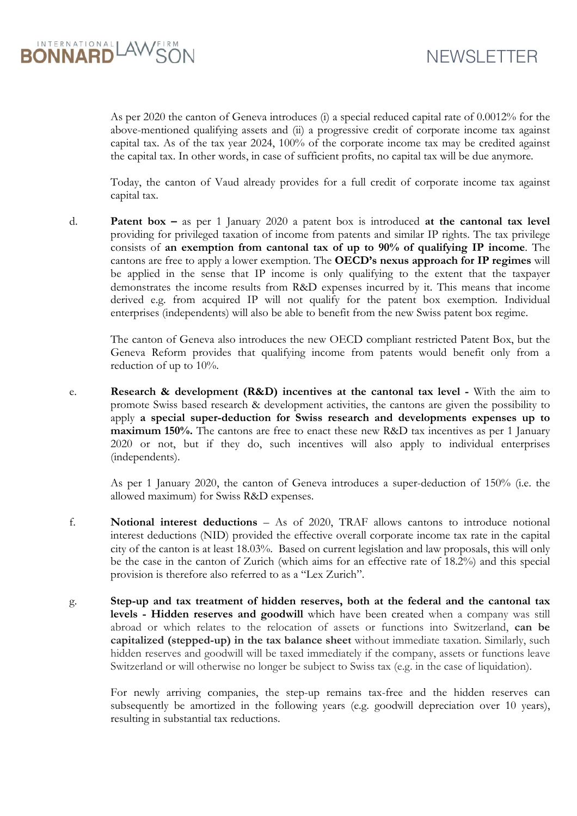

As per 2020 the canton of Geneva introduces (i) a special reduced capital rate of 0.0012% for the above-mentioned qualifying assets and (ii) a progressive credit of corporate income tax against capital tax. As of the tax year 2024, 100% of the corporate income tax may be credited against the capital tax. In other words, in case of sufficient profits, no capital tax will be due anymore.

Today, the canton of Vaud already provides for a full credit of corporate income tax against capital tax.

d. **Patent box –** as per 1 January 2020 a patent box is introduced **at the cantonal tax level** providing for privileged taxation of income from patents and similar IP rights. The tax privilege consists of **an exemption from cantonal tax of up to 90% of qualifying IP income**. The cantons are free to apply a lower exemption. The **OECD's nexus approach for IP regimes** will be applied in the sense that IP income is only qualifying to the extent that the taxpayer demonstrates the income results from R&D expenses incurred by it. This means that income derived e.g. from acquired IP will not qualify for the patent box exemption. Individual enterprises (independents) will also be able to benefit from the new Swiss patent box regime.

The canton of Geneva also introduces the new OECD compliant restricted Patent Box, but the Geneva Reform provides that qualifying income from patents would benefit only from a reduction of up to 10%.

e. **Research & development (R&D) incentives at the cantonal tax level -** With the aim to promote Swiss based research & development activities, the cantons are given the possibility to apply **a special super-deduction for Swiss research and developments expenses up to maximum 150%.** The cantons are free to enact these new R&D tax incentives as per 1 January 2020 or not, but if they do, such incentives will also apply to individual enterprises (independents).

As per 1 January 2020, the canton of Geneva introduces a super-deduction of 150% (i.e. the allowed maximum) for Swiss R&D expenses.

- f. **Notional interest deductions**  As of 2020, TRAF allows cantons to introduce notional interest deductions (NID) provided the effective overall corporate income tax rate in the capital city of the canton is at least 18.03%. Based on current legislation and law proposals, this will only be the case in the canton of Zurich (which aims for an effective rate of 18.2%) and this special provision is therefore also referred to as a "Lex Zurich".
- g. **Step-up and tax treatment of hidden reserves, both at the federal and the cantonal tax levels - Hidden reserves and goodwill** which have been created when a company was still abroad or which relates to the relocation of assets or functions into Switzerland, **can be capitalized (stepped-up) in the tax balance sheet** without immediate taxation. Similarly, such hidden reserves and goodwill will be taxed immediately if the company, assets or functions leave Switzerland or will otherwise no longer be subject to Swiss tax (e.g. in the case of liquidation).

For newly arriving companies, the step-up remains tax-free and the hidden reserves can subsequently be amortized in the following years (e.g. goodwill depreciation over 10 years), resulting in substantial tax reductions.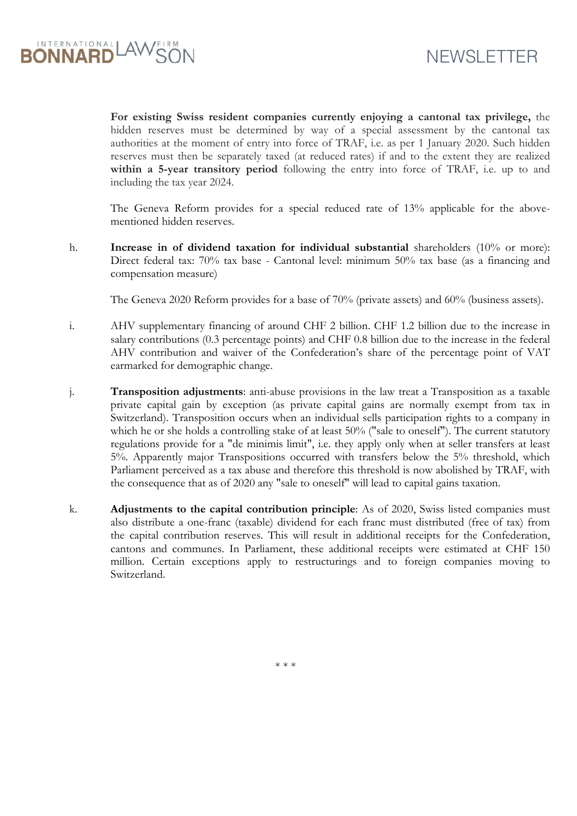

**For existing Swiss resident companies currently enjoying a cantonal tax privilege,** the hidden reserves must be determined by way of a special assessment by the cantonal tax authorities at the moment of entry into force of TRAF, i.e. as per 1 January 2020. Such hidden reserves must then be separately taxed (at reduced rates) if and to the extent they are realized **within a 5-year transitory period** following the entry into force of TRAF, i.e. up to and including the tax year 2024.

The Geneva Reform provides for a special reduced rate of 13% applicable for the abovementioned hidden reserves.

h. **Increase in of dividend taxation for individual substantial** shareholders (10% or more): Direct federal tax: 70% tax base - Cantonal level: minimum 50% tax base (as a financing and compensation measure)

The Geneva 2020 Reform provides for a base of 70% (private assets) and 60% (business assets).

- i. AHV supplementary financing of around CHF 2 billion. CHF 1.2 billion due to the increase in salary contributions (0.3 percentage points) and CHF 0.8 billion due to the increase in the federal AHV contribution and waiver of the Confederation's share of the percentage point of VAT earmarked for demographic change.
- j. **Transposition adjustments**: anti-abuse provisions in the law treat a Transposition as a taxable private capital gain by exception (as private capital gains are normally exempt from tax in Switzerland). Transposition occurs when an individual sells participation rights to a company in which he or she holds a controlling stake of at least 50% ("sale to oneself"). The current statutory regulations provide for a "de minimis limit", i.e. they apply only when at seller transfers at least 5%. Apparently major Transpositions occurred with transfers below the 5% threshold, which Parliament perceived as a tax abuse and therefore this threshold is now abolished by TRAF, with the consequence that as of 2020 any "sale to oneself" will lead to capital gains taxation.
- k. **Adjustments to the capital contribution principle**: As of 2020, Swiss listed companies must also distribute a one-franc (taxable) dividend for each franc must distributed (free of tax) from the capital contribution reserves. This will result in additional receipts for the Confederation, cantons and communes. In Parliament, these additional receipts were estimated at CHF 150 million. Certain exceptions apply to restructurings and to foreign companies moving to Switzerland.

\* \* \*